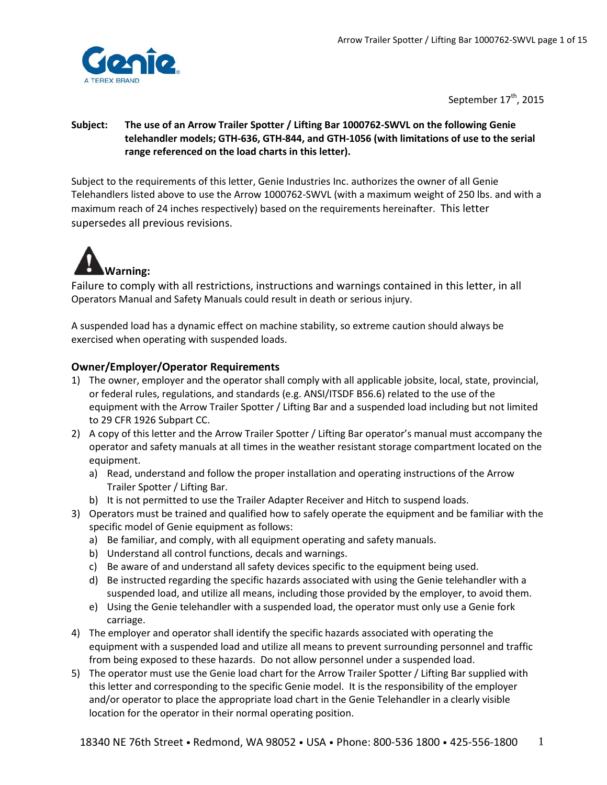

September 17<sup>th</sup>, 2015

## **Subject: The use of an Arrow Trailer Spotter / Lifting Bar 1000762-SWVL on the following Genie telehandler models; GTH-636, GTH-844, and GTH-1056 (with limitations of use to the serial range referenced on the load charts in this letter).**

Subject to the requirements of this letter, Genie Industries Inc. authorizes the owner of all Genie Telehandlers listed above to use the Arrow 1000762-SWVL (with a maximum weight of 250 lbs. and with a maximum reach of 24 inches respectively) based on the requirements hereinafter. This letter supersedes all previous revisions.



Failure to comply with all restrictions, instructions and warnings contained in this letter, in all Operators Manual and Safety Manuals could result in death or serious injury.

A suspended load has a dynamic effect on machine stability, so extreme caution should always be exercised when operating with suspended loads.

# **Owner/Employer/Operator Requirements**

- 1) The owner, employer and the operator shall comply with all applicable jobsite, local, state, provincial, or federal rules, regulations, and standards (e.g. ANSI/ITSDF B56.6) related to the use of the equipment with the Arrow Trailer Spotter / Lifting Bar and a suspended load including but not limited to 29 CFR 1926 Subpart CC.
- 2) A copy of this letter and the Arrow Trailer Spotter / Lifting Bar operator's manual must accompany the operator and safety manuals at all times in the weather resistant storage compartment located on the equipment.
	- a) Read, understand and follow the proper installation and operating instructions of the Arrow Trailer Spotter / Lifting Bar.
	- b) It is not permitted to use the Trailer Adapter Receiver and Hitch to suspend loads.
- 3) Operators must be trained and qualified how to safely operate the equipment and be familiar with the specific model of Genie equipment as follows:
	- a) Be familiar, and comply, with all equipment operating and safety manuals.
	- b) Understand all control functions, decals and warnings.
	- c) Be aware of and understand all safety devices specific to the equipment being used.
	- d) Be instructed regarding the specific hazards associated with using the Genie telehandler with a suspended load, and utilize all means, including those provided by the employer, to avoid them.
	- e) Using the Genie telehandler with a suspended load, the operator must only use a Genie fork carriage.
- 4) The employer and operator shall identify the specific hazards associated with operating the equipment with a suspended load and utilize all means to prevent surrounding personnel and traffic from being exposed to these hazards. Do not allow personnel under a suspended load.
- 5) The operator must use the Genie load chart for the Arrow Trailer Spotter / Lifting Bar supplied with this letter and corresponding to the specific Genie model. It is the responsibility of the employer and/or operator to place the appropriate load chart in the Genie Telehandler in a clearly visible location for the operator in their normal operating position.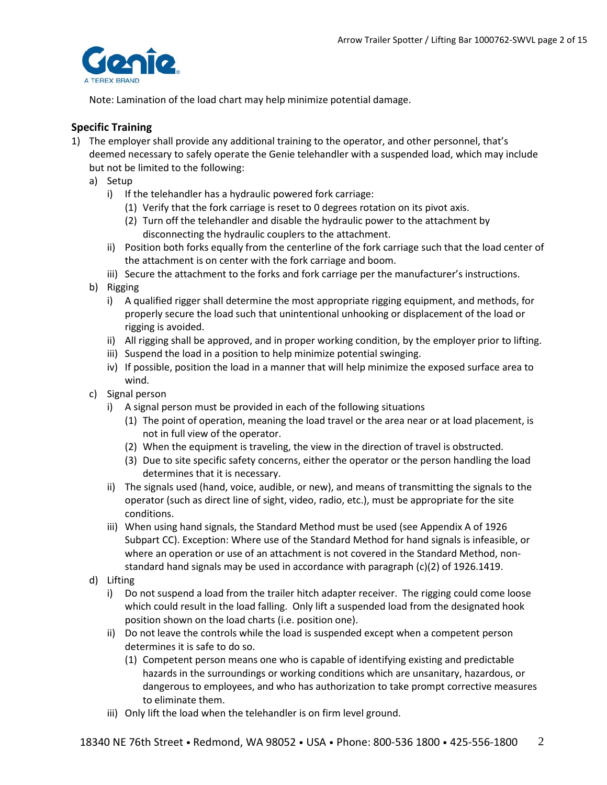

Note: Lamination of the load chart may help minimize potential damage.

## **Specific Training**

- 1) The employer shall provide any additional training to the operator, and other personnel, that's deemed necessary to safely operate the Genie telehandler with a suspended load, which may include but not be limited to the following:
	- a) Setup
		- i) If the telehandler has a hydraulic powered fork carriage:
			- (1) Verify that the fork carriage is reset to 0 degrees rotation on its pivot axis.
			- (2) Turn off the telehandler and disable the hydraulic power to the attachment by disconnecting the hydraulic couplers to the attachment.
		- ii) Position both forks equally from the centerline of the fork carriage such that the load center of the attachment is on center with the fork carriage and boom.
		- iii) Secure the attachment to the forks and fork carriage per the manufacturer's instructions.
	- b) Rigging
		- i) A qualified rigger shall determine the most appropriate rigging equipment, and methods, for properly secure the load such that unintentional unhooking or displacement of the load or rigging is avoided.
		- ii) All rigging shall be approved, and in proper working condition, by the employer prior to lifting.
		- iii) Suspend the load in a position to help minimize potential swinging.
		- iv) If possible, position the load in a manner that will help minimize the exposed surface area to wind.
	- c) Signal person
		- i) A signal person must be provided in each of the following situations
			- (1) The point of operation, meaning the load travel or the area near or at load placement, is not in full view of the operator.
			- (2) When the equipment is traveling, the view in the direction of travel is obstructed.
			- (3) Due to site specific safety concerns, either the operator or the person handling the load determines that it is necessary.
		- ii) The signals used (hand, voice, audible, or new), and means of transmitting the signals to the operator (such as direct line of sight, video, radio, etc.), must be appropriate for the site conditions.
		- iii) When using hand signals, the Standard Method must be used (see Appendix A of 1926 Subpart CC). Exception: Where use of the Standard Method for hand signals is infeasible, or where an operation or use of an attachment is not covered in the Standard Method, nonstandard hand signals may be used in accordance with paragraph (c)(2) of 1926.1419.
	- d) Lifting
		- i) Do not suspend a load from the trailer hitch adapter receiver. The rigging could come loose which could result in the load falling. Only lift a suspended load from the designated hook position shown on the load charts (i.e. position one).
		- ii) Do not leave the controls while the load is suspended except when a competent person determines it is safe to do so.
			- (1) Competent person means one who is capable of identifying existing and predictable hazards in the surroundings or working conditions which are unsanitary, hazardous, or dangerous to employees, and who has authorization to take prompt corrective measures to eliminate them.
		- iii) Only lift the load when the telehandler is on firm level ground.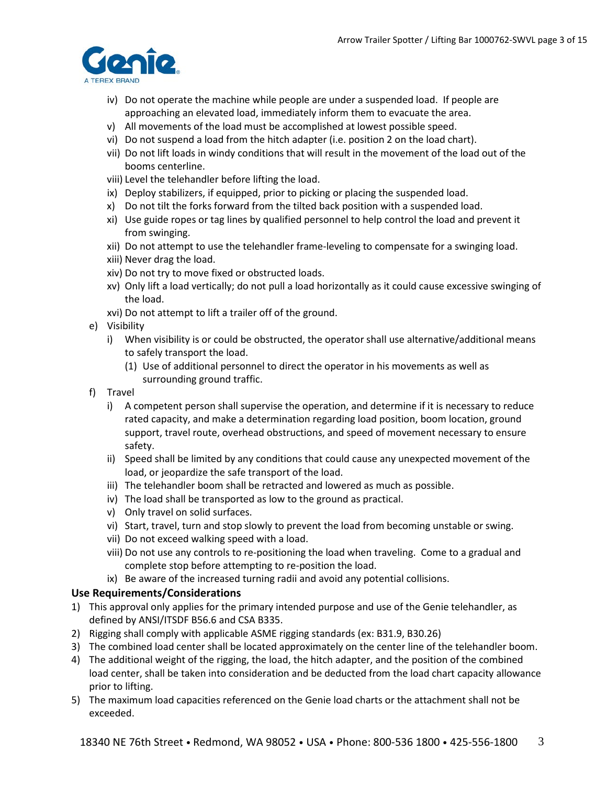

- iv) Do not operate the machine while people are under a suspended load. If people are approaching an elevated load, immediately inform them to evacuate the area.
- v) All movements of the load must be accomplished at lowest possible speed.
- vi) Do not suspend a load from the hitch adapter (i.e. position 2 on the load chart).
- vii) Do not lift loads in windy conditions that will result in the movement of the load out of the booms centerline.
- viii) Level the telehandler before lifting the load.
- ix) Deploy stabilizers, if equipped, prior to picking or placing the suspended load.
- x) Do not tilt the forks forward from the tilted back position with a suspended load.
- xi) Use guide ropes or tag lines by qualified personnel to help control the load and prevent it from swinging.
- xii) Do not attempt to use the telehandler frame-leveling to compensate for a swinging load.
- xiii) Never drag the load.
- xiv) Do not try to move fixed or obstructed loads.
- xv) Only lift a load vertically; do not pull a load horizontally as it could cause excessive swinging of the load.
- xvi) Do not attempt to lift a trailer off of the ground.
- e) Visibility
	- i) When visibility is or could be obstructed, the operator shall use alternative/additional means to safely transport the load.
		- (1) Use of additional personnel to direct the operator in his movements as well as surrounding ground traffic.
- f) Travel
	- i) A competent person shall supervise the operation, and determine if it is necessary to reduce rated capacity, and make a determination regarding load position, boom location, ground support, travel route, overhead obstructions, and speed of movement necessary to ensure safety.
	- ii) Speed shall be limited by any conditions that could cause any unexpected movement of the load, or jeopardize the safe transport of the load.
	- iii) The telehandler boom shall be retracted and lowered as much as possible.
	- iv) The load shall be transported as low to the ground as practical.
	- v) Only travel on solid surfaces.
	- vi) Start, travel, turn and stop slowly to prevent the load from becoming unstable or swing.
	- vii) Do not exceed walking speed with a load.
	- viii) Do not use any controls to re-positioning the load when traveling. Come to a gradual and complete stop before attempting to re-position the load.
	- ix) Be aware of the increased turning radii and avoid any potential collisions.

### **Use Requirements/Considerations**

- 1) This approval only applies for the primary intended purpose and use of the Genie telehandler, as defined by ANSI/ITSDF B56.6 and CSA B335.
- 2) Rigging shall comply with applicable ASME rigging standards (ex: B31.9, B30.26)
- 3) The combined load center shall be located approximately on the center line of the telehandler boom.
- 4) The additional weight of the rigging, the load, the hitch adapter, and the position of the combined load center, shall be taken into consideration and be deducted from the load chart capacity allowance prior to lifting.
- 5) The maximum load capacities referenced on the Genie load charts or the attachment shall not be exceeded.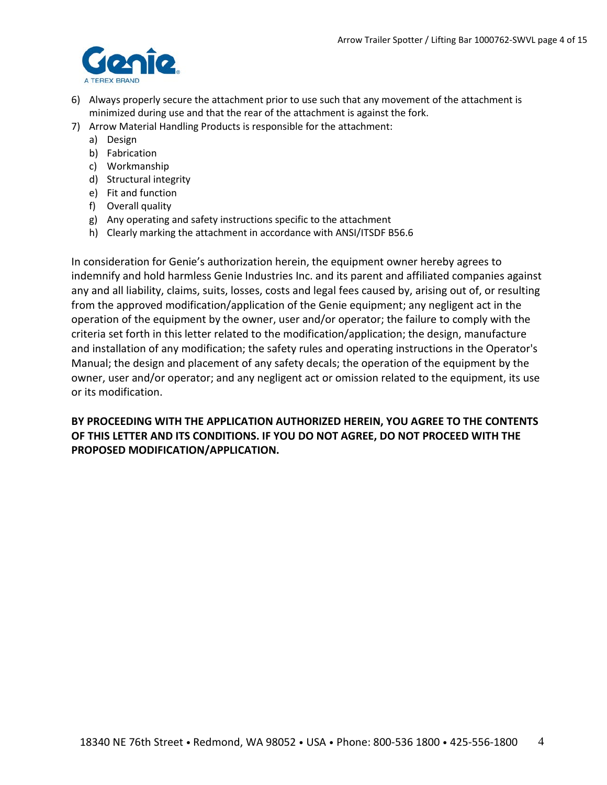

- 6) Always properly secure the attachment prior to use such that any movement of the attachment is minimized during use and that the rear of the attachment is against the fork.
- 7) Arrow Material Handling Products is responsible for the attachment:
	- a) Design
	- b) Fabrication
	- c) Workmanship
	- d) Structural integrity
	- e) Fit and function
	- f) Overall quality
	- g) Any operating and safety instructions specific to the attachment
	- h) Clearly marking the attachment in accordance with ANSI/ITSDF B56.6

In consideration for Genie's authorization herein, the equipment owner hereby agrees to indemnify and hold harmless Genie Industries Inc. and its parent and affiliated companies against any and all liability, claims, suits, losses, costs and legal fees caused by, arising out of, or resulting from the approved modification/application of the Genie equipment; any negligent act in the operation of the equipment by the owner, user and/or operator; the failure to comply with the criteria set forth in this letter related to the modification/application; the design, manufacture and installation of any modification; the safety rules and operating instructions in the Operator's Manual; the design and placement of any safety decals; the operation of the equipment by the owner, user and/or operator; and any negligent act or omission related to the equipment, its use or its modification.

# **BY PROCEEDING WITH THE APPLICATION AUTHORIZED HEREIN, YOU AGREE TO THE CONTENTS OF THIS LETTER AND ITS CONDITIONS. IF YOU DO NOT AGREE, DO NOT PROCEED WITH THE PROPOSED MODIFICATION/APPLICATION.**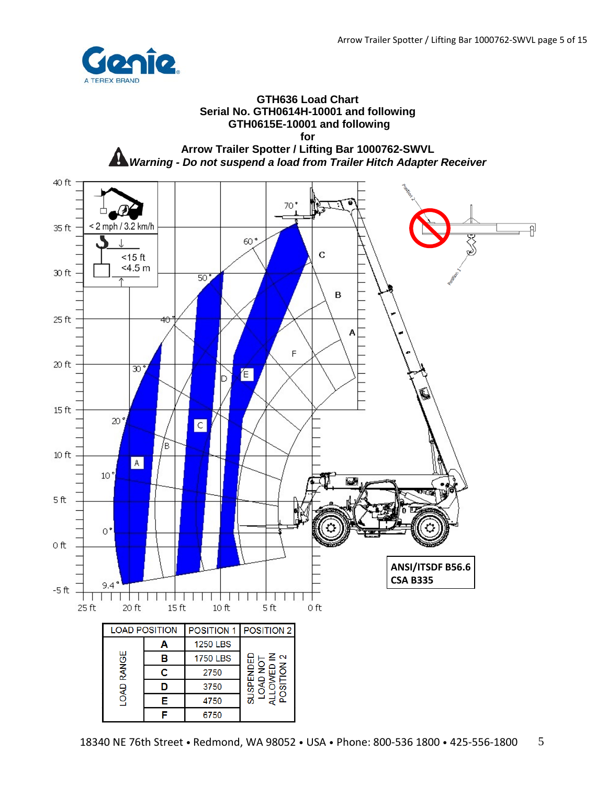

#### **GTH636 Load Chart Serial No. GTH0614H-10001 and following GTH0615E-10001 and following for**



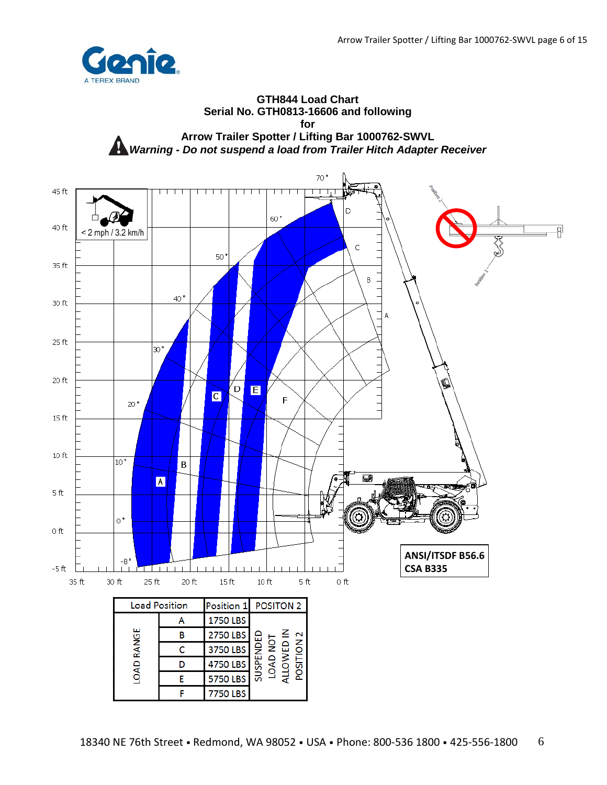

#### **GTH844 Load Chart Serial No. GTH0813-16606 and following for Arrow Trailer Spotter / Lifting Bar 1000762-SWVL** *Warning - Do not suspend a load from Trailer Hitch Adapter Receiver*

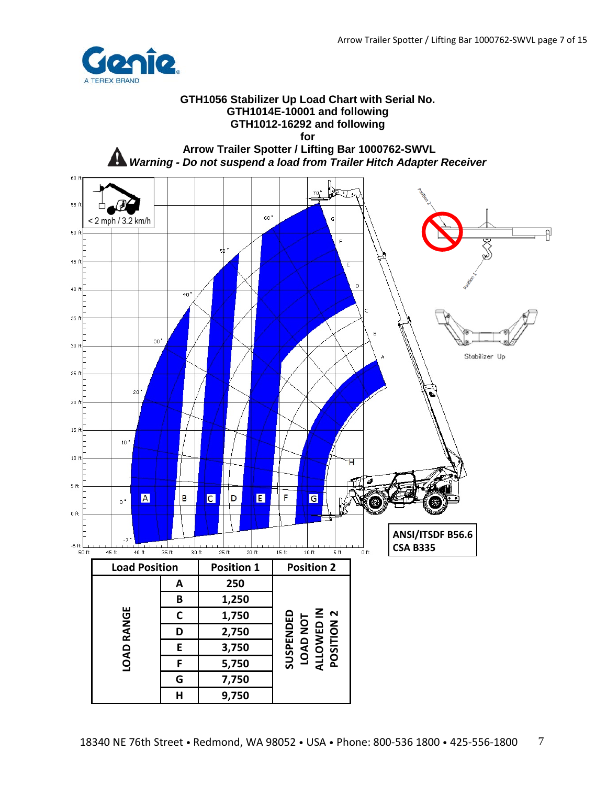유